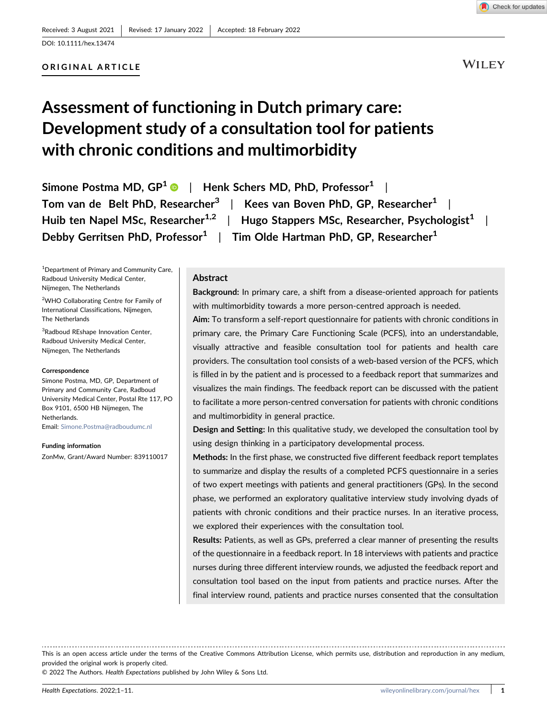## ORIGINAL ARTICLE

# Assessment of functioning in Dutch primary care: Development study of a consultation tool for patients with chronic conditions and multimorbidity

Simone Postma MD,  $GP^1 \cdot \cdot \cdot$  $GP^1 \cdot \cdot \cdot$  $GP^1 \cdot \cdot \cdot$  Henk Schers MD, PhD, Professor<sup>1</sup> | Tom van de Belt PhD, Researcher<sup>3</sup> | Kees van Boven PhD, GP, Researcher<sup>1</sup> | Huib ten Napel MSc, Researcher<sup>1,2</sup> | Hugo Stappers MSc, Researcher, Psychologist<sup>1</sup> | Debby Gerritsen PhD, Professor<sup>1</sup> | Tim Olde Hartman PhD, GP, Researcher<sup>1</sup>

<sup>1</sup> Department of Primary and Community Care, Radboud University Medical Center, Nijmegen, The Netherlands

<sup>2</sup>WHO Collaborating Centre for Family of International Classifications, Nijmegen, The Netherlands

<sup>3</sup>Radboud REshape Innovation Center, Radboud University Medical Center, Nijmegen, The Netherlands

#### Correspondence

Simone Postma, MD, GP, Department of Primary and Community Care, Radboud University Medical Center, Postal Rte 117, PO Box 9101, 6500 HB Nijmegen, The **Netherlands** 

Email: [Simone.Postma@radboudumc.nl](mailto:Simone.Postma@radboudumc.nl)

Funding information

ZonMw, Grant/Award Number: 839110017

## Abstract

Background: In primary care, a shift from a disease-oriented approach for patients with multimorbidity towards a more person-centred approach is needed.

Aim: To transform a self‐report questionnaire for patients with chronic conditions in primary care, the Primary Care Functioning Scale (PCFS), into an understandable, visually attractive and feasible consultation tool for patients and health care providers. The consultation tool consists of a web‐based version of the PCFS, which is filled in by the patient and is processed to a feedback report that summarizes and visualizes the main findings. The feedback report can be discussed with the patient to facilitate a more person‐centred conversation for patients with chronic conditions and multimorbidity in general practice.

Design and Setting: In this qualitative study, we developed the consultation tool by using design thinking in a participatory developmental process.

Methods: In the first phase, we constructed five different feedback report templates to summarize and display the results of a completed PCFS questionnaire in a series of two expert meetings with patients and general practitioners (GPs). In the second phase, we performed an exploratory qualitative interview study involving dyads of patients with chronic conditions and their practice nurses. In an iterative process, we explored their experiences with the consultation tool.

Results: Patients, as well as GPs, preferred a clear manner of presenting the results of the questionnaire in a feedback report. In 18 interviews with patients and practice nurses during three different interview rounds, we adjusted the feedback report and consultation tool based on the input from patients and practice nurses. After the final interview round, patients and practice nurses consented that the consultation

This is an open access article under the terms of the Creative Commons Attribution License, which permits use, distribution and reproduction in any medium, provided the original work is properly cited.

© 2022 The Authors. Health Expectations published by John Wiley & Sons Ltd.

**WILEY**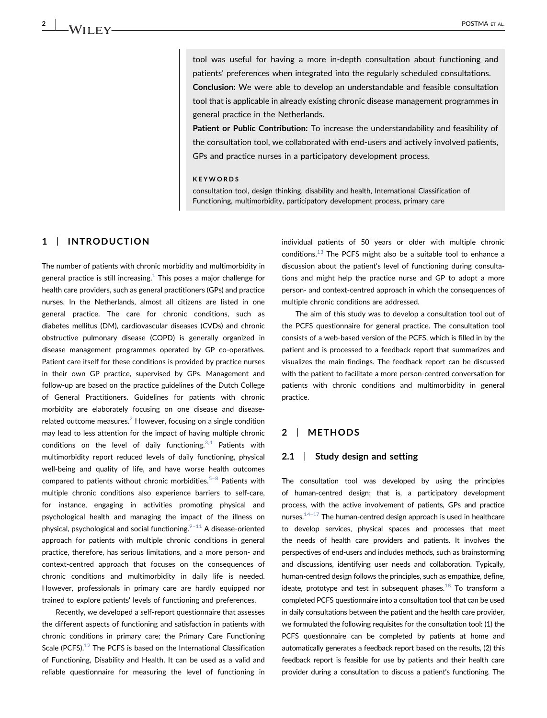tool was useful for having a more in‐depth consultation about functioning and patients' preferences when integrated into the regularly scheduled consultations. Conclusion: We were able to develop an understandable and feasible consultation tool that is applicable in already existing chronic disease management programmes in general practice in the Netherlands.

Patient or Public Contribution: To increase the understandability and feasibility of the consultation tool, we collaborated with end‐users and actively involved patients, GPs and practice nurses in a participatory development process.

#### KEYWORDS

consultation tool, design thinking, disability and health, International Classification of Functioning, multimorbidity, participatory development process, primary care

## 1 | INTRODUCTION

The number of patients with chronic morbidity and multimorbidity in general practice is still increasing. $1$  This poses a major challenge for health care providers, such as general practitioners (GPs) and practice nurses. In the Netherlands, almost all citizens are listed in one general practice. The care for chronic conditions, such as diabetes mellitus (DM), cardiovascular diseases (CVDs) and chronic obstructive pulmonary disease (COPD) is generally organized in disease management programmes operated by GP co‐operatives. Patient care itself for these conditions is provided by practice nurses in their own GP practice, supervised by GPs. Management and follow-up are based on the practice guidelines of the Dutch College of General Practitioners. Guidelines for patients with chronic morbidity are elaborately focusing on one disease and disease‐ related outcome measures. $2$  However, focusing on a single condition may lead to less attention for the impact of having multiple chronic conditions on the level of daily functioning.  $3,4$  Patients with multimorbidity report reduced levels of daily functioning, physical well-being and quality of life, and have worse health outcomes compared to patients without chronic morbidities.<sup>[5](#page-7-3)–8</sup> Patients with multiple chronic conditions also experience barriers to self‐care, for instance, engaging in activities promoting physical and psychological health and managing the impact of the illness on physical, psychological and social functioning. $9-11$  $9-11$  A disease-oriented approach for patients with multiple chronic conditions in general practice, therefore, has serious limitations, and a more person‐ and context‐centred approach that focuses on the consequences of chronic conditions and multimorbidity in daily life is needed. However, professionals in primary care are hardly equipped nor trained to explore patients' levels of functioning and preferences.

Recently, we developed a self‐report questionnaire that assesses the different aspects of functioning and satisfaction in patients with chronic conditions in primary care; the Primary Care Functioning Scale (PCFS). $12$  The PCFS is based on the International Classification of Functioning, Disability and Health. It can be used as a valid and reliable questionnaire for measuring the level of functioning in

individual patients of 50 years or older with multiple chronic conditions.<sup>13</sup> The PCFS might also be a suitable tool to enhance a discussion about the patient's level of functioning during consultations and might help the practice nurse and GP to adopt a more person- and context-centred approach in which the consequences of multiple chronic conditions are addressed.

The aim of this study was to develop a consultation tool out of the PCFS questionnaire for general practice. The consultation tool consists of a web‐based version of the PCFS, which is filled in by the patient and is processed to a feedback report that summarizes and visualizes the main findings. The feedback report can be discussed with the patient to facilitate a more person‐centred conversation for patients with chronic conditions and multimorbidity in general practice.

## 2 | METHODS

#### 2.1 | Study design and setting

The consultation tool was developed by using the principles of human‐centred design; that is, a participatory development process, with the active involvement of patients, GPs and practice nurses. $14-17$  $14-17$  The human-centred design approach is used in healthcare to develop services, physical spaces and processes that meet the needs of health care providers and patients. It involves the perspectives of end‐users and includes methods, such as brainstorming and discussions, identifying user needs and collaboration. Typically, human-centred design follows the principles, such as empathize, define, ideate, prototype and test in subsequent phases. $^{18}$  To transform a completed PCFS questionnaire into a consultation tool that can be used in daily consultations between the patient and the health care provider, we formulated the following requisites for the consultation tool: (1) the PCFS questionnaire can be completed by patients at home and automatically generates a feedback report based on the results, (2) this feedback report is feasible for use by patients and their health care provider during a consultation to discuss a patient's functioning. The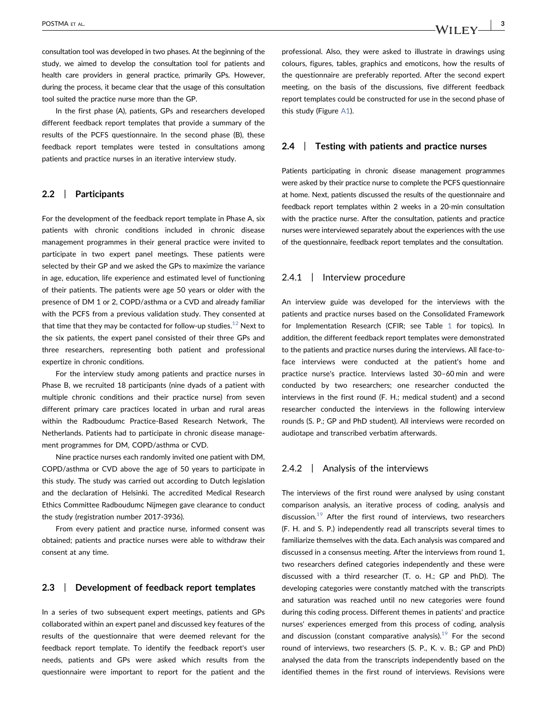consultation tool was developed in two phases. At the beginning of the study, we aimed to develop the consultation tool for patients and health care providers in general practice, primarily GPs. However, during the process, it became clear that the usage of this consultation tool suited the practice nurse more than the GP.

In the first phase (A), patients, GPs and researchers developed different feedback report templates that provide a summary of the results of the PCFS questionnaire. In the second phase (B), these feedback report templates were tested in consultations among patients and practice nurses in an iterative interview study.

### 2.2 | Participants

For the development of the feedback report template in Phase A, six patients with chronic conditions included in chronic disease management programmes in their general practice were invited to participate in two expert panel meetings. These patients were selected by their GP and we asked the GPs to maximize the variance in age, education, life experience and estimated level of functioning of their patients. The patients were age 50 years or older with the presence of DM 1 or 2, COPD/asthma or a CVD and already familiar with the PCFS from a previous validation study. They consented at that time that they may be contacted for follow-up studies.<sup>[12](#page-7-5)</sup> Next to the six patients, the expert panel consisted of their three GPs and three researchers, representing both patient and professional expertize in chronic conditions.

For the interview study among patients and practice nurses in Phase B, we recruited 18 participants (nine dyads of a patient with multiple chronic conditions and their practice nurse) from seven different primary care practices located in urban and rural areas within the Radboudumc Practice‐Based Research Network, The Netherlands. Patients had to participate in chronic disease management programmes for DM, COPD/asthma or CVD.

Nine practice nurses each randomly invited one patient with DM, COPD/asthma or CVD above the age of 50 years to participate in this study. The study was carried out according to Dutch legislation and the declaration of Helsinki. The accredited Medical Research Ethics Committee Radboudumc Nijmegen gave clearance to conduct the study (registration number 2017‐3936).

From every patient and practice nurse, informed consent was obtained; patients and practice nurses were able to withdraw their consent at any time.

#### 2.3 | Development of feedback report templates

In a series of two subsequent expert meetings, patients and GPs collaborated within an expert panel and discussed key features of the results of the questionnaire that were deemed relevant for the feedback report template. To identify the feedback report's user needs, patients and GPs were asked which results from the questionnaire were important to report for the patient and the

professional. Also, they were asked to illustrate in drawings using colours, figures, tables, graphics and emoticons, how the results of the questionnaire are preferably reported. After the second expert meeting, on the basis of the discussions, five different feedback report templates could be constructed for use in the second phase of this study (Figure [A1](#page-9-0)).

#### 2.4 | Testing with patients and practice nurses

Patients participating in chronic disease management programmes were asked by their practice nurse to complete the PCFS questionnaire at home. Next, patients discussed the results of the questionnaire and feedback report templates within 2 weeks in a 20‐min consultation with the practice nurse. After the consultation, patients and practice nurses were interviewed separately about the experiences with the use of the questionnaire, feedback report templates and the consultation.

#### 2.4.1 | Interview procedure

An interview guide was developed for the interviews with the patients and practice nurses based on the Consolidated Framework for Implementation Research (CFIR; see Table [1](#page-3-0) for topics). In addition, the different feedback report templates were demonstrated to the patients and practice nurses during the interviews. All face-toface interviews were conducted at the patient's home and practice nurse's practice. Interviews lasted 30–60 min and were conducted by two researchers; one researcher conducted the interviews in the first round (F. H.; medical student) and a second researcher conducted the interviews in the following interview rounds (S. P.; GP and PhD student). All interviews were recorded on audiotape and transcribed verbatim afterwards.

### 2.4.2 | Analysis of the interviews

The interviews of the first round were analysed by using constant comparison analysis, an iterative process of coding, analysis and discussion.<sup>[19](#page-8-1)</sup> After the first round of interviews, two researchers (F. H. and S. P.) independently read all transcripts several times to familiarize themselves with the data. Each analysis was compared and discussed in a consensus meeting. After the interviews from round 1, two researchers defined categories independently and these were discussed with a third researcher (T. o. H.; GP and PhD). The developing categories were constantly matched with the transcripts and saturation was reached until no new categories were found during this coding process. Different themes in patients' and practice nurses' experiences emerged from this process of coding, analysis and discussion (constant comparative analysis).<sup>[19](#page-8-1)</sup> For the second round of interviews, two researchers (S. P., K. v. B.; GP and PhD) analysed the data from the transcripts independently based on the identified themes in the first round of interviews. Revisions were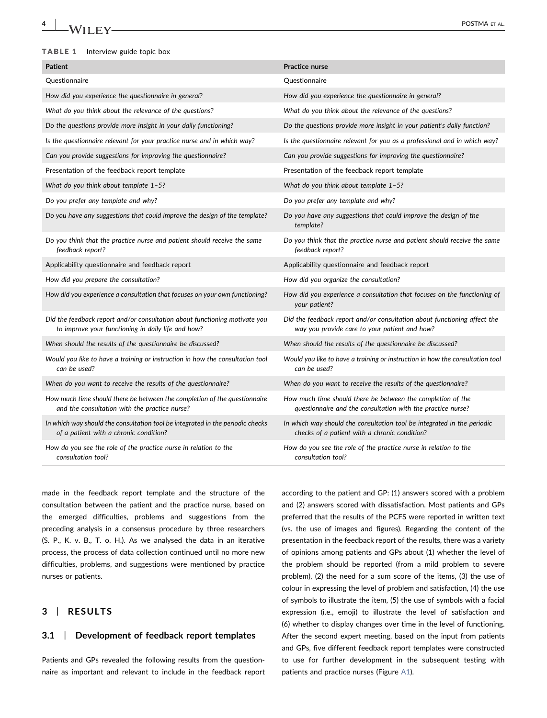# 4 | POSTMA ET AL.

#### <span id="page-3-0"></span>TABLE 1 Interview guide topic box

| <b>Patient</b>                                                                                                                   | Practice nurse                                                                                                             |
|----------------------------------------------------------------------------------------------------------------------------------|----------------------------------------------------------------------------------------------------------------------------|
| Questionnaire                                                                                                                    | Questionnaire                                                                                                              |
| How did you experience the questionnaire in general?                                                                             | How did you experience the questionnaire in general?                                                                       |
| What do you think about the relevance of the questions?                                                                          | What do you think about the relevance of the questions?                                                                    |
| Do the questions provide more insight in your daily functioning?                                                                 | Do the questions provide more insight in your patient's daily function?                                                    |
| Is the questionnaire relevant for your practice nurse and in which way?                                                          | Is the questionnaire relevant for you as a professional and in which way?                                                  |
| Can you provide suggestions for improving the questionnaire?                                                                     | Can you provide suggestions for improving the questionnaire?                                                               |
| Presentation of the feedback report template                                                                                     | Presentation of the feedback report template                                                                               |
| What do you think about template $1-5$ ?                                                                                         | What do you think about template $1-5$ ?                                                                                   |
| Do you prefer any template and why?                                                                                              | Do you prefer any template and why?                                                                                        |
| Do you have any suggestions that could improve the design of the template?                                                       | Do you have any suggestions that could improve the design of the<br>template?                                              |
| Do you think that the practice nurse and patient should receive the same<br>feedback report?                                     | Do you think that the practice nurse and patient should receive the same<br>feedback report?                               |
| Applicability questionnaire and feedback report                                                                                  | Applicability questionnaire and feedback report                                                                            |
| How did you prepare the consultation?                                                                                            | How did you organize the consultation?                                                                                     |
| How did you experience a consultation that focuses on your own functioning?                                                      | How did you experience a consultation that focuses on the functioning of<br>your patient?                                  |
| Did the feedback report and/or consultation about functioning motivate you<br>to improve your functioning in daily life and how? | Did the feedback report and/or consultation about functioning affect the<br>way you provide care to your patient and how?  |
| When should the results of the questionnaire be discussed?                                                                       | When should the results of the questionnaire be discussed?                                                                 |
| Would you like to have a training or instruction in how the consultation tool<br>can be used?                                    | Would you like to have a training or instruction in how the consultation tool<br>can be used?                              |
| When do you want to receive the results of the questionnaire?                                                                    | When do you want to receive the results of the questionnaire?                                                              |
| How much time should there be between the completion of the questionnaire<br>and the consultation with the practice nurse?       | How much time should there be between the completion of the<br>questionnaire and the consultation with the practice nurse? |
| In which way should the consultation tool be integrated in the periodic checks<br>of a patient with a chronic condition?         | In which way should the consultation tool be integrated in the periodic<br>checks of a patient with a chronic condition?   |
| How do you see the role of the practice nurse in relation to the<br>consultation tool?                                           | How do you see the role of the practice nurse in relation to the<br>consultation tool?                                     |

made in the feedback report template and the structure of the consultation between the patient and the practice nurse, based on the emerged difficulties, problems and suggestions from the preceding analysis in a consensus procedure by three researchers (S. P., K. v. B., T. o. H.). As we analysed the data in an iterative process, the process of data collection continued until no more new difficulties, problems, and suggestions were mentioned by practice nurses or patients.

## 3 | RESULTS

## 3.1 | Development of feedback report templates

Patients and GPs revealed the following results from the questionnaire as important and relevant to include in the feedback report

according to the patient and GP: (1) answers scored with a problem and (2) answers scored with dissatisfaction. Most patients and GPs preferred that the results of the PCFS were reported in written text (vs. the use of images and figures). Regarding the content of the presentation in the feedback report of the results, there was a variety of opinions among patients and GPs about (1) whether the level of the problem should be reported (from a mild problem to severe problem), (2) the need for a sum score of the items, (3) the use of colour in expressing the level of problem and satisfaction, (4) the use of symbols to illustrate the item, (5) the use of symbols with a facial expression (i.e., emoji) to illustrate the level of satisfaction and (6) whether to display changes over time in the level of functioning. After the second expert meeting, based on the input from patients and GPs, five different feedback report templates were constructed to use for further development in the subsequent testing with patients and practice nurses (Figure [A1\)](#page-9-0).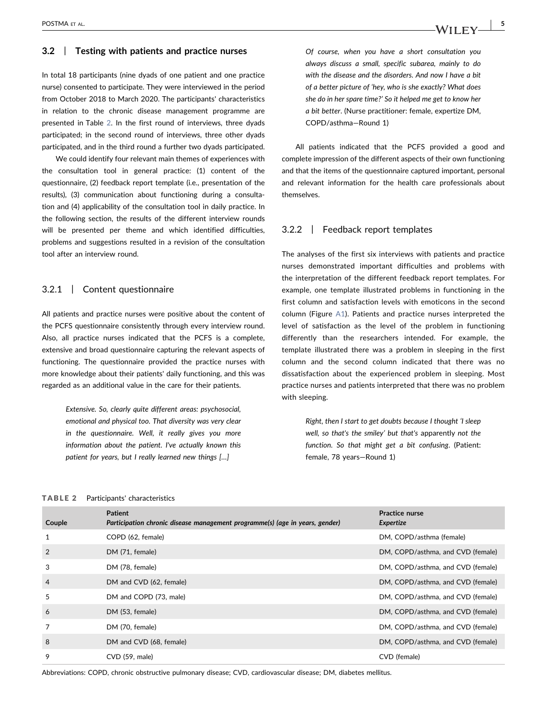#### 3.2 | Testing with patients and practice nurses

In total 18 participants (nine dyads of one patient and one practice nurse) consented to participate. They were interviewed in the period from October 2018 to March 2020. The participants' characteristics in relation to the chronic disease management programme are presented in Table [2.](#page-4-0) In the first round of interviews, three dyads participated; in the second round of interviews, three other dyads participated, and in the third round a further two dyads participated.

We could identify four relevant main themes of experiences with the consultation tool in general practice: (1) content of the questionnaire, (2) feedback report template (i.e., presentation of the results), (3) communication about functioning during a consultation and (4) applicability of the consultation tool in daily practice. In the following section, the results of the different interview rounds will be presented per theme and which identified difficulties, problems and suggestions resulted in a revision of the consultation tool after an interview round.

#### 3.2.1 | Content questionnaire

All patients and practice nurses were positive about the content of the PCFS questionnaire consistently through every interview round. Also, all practice nurses indicated that the PCFS is a complete, extensive and broad questionnaire capturing the relevant aspects of functioning. The questionnaire provided the practice nurses with more knowledge about their patients' daily functioning, and this was regarded as an additional value in the care for their patients.

> Extensive. So, clearly quite different areas: psychosocial, emotional and physical too. That diversity was very clear in the questionnaire. Well, it really gives you more information about the patient. I've actually known this patient for years, but I really learned new things […]

Of course, when you have a short consultation you always discuss a small, specific subarea, mainly to do with the disease and the disorders. And now I have a bit of a better picture of 'hey, who is she exactly? What does she do in her spare time?' So it helped me get to know her a bit better. (Nurse practitioner: female, expertize DM, COPD/asthma—Round 1)

All patients indicated that the PCFS provided a good and complete impression of the different aspects of their own functioning and that the items of the questionnaire captured important, personal and relevant information for the health care professionals about themselves.

## 3.2.2 | Feedback report templates

The analyses of the first six interviews with patients and practice nurses demonstrated important difficulties and problems with the interpretation of the different feedback report templates. For example, one template illustrated problems in functioning in the first column and satisfaction levels with emoticons in the second column (Figure [A1\)](#page-9-0). Patients and practice nurses interpreted the level of satisfaction as the level of the problem in functioning differently than the researchers intended. For example, the template illustrated there was a problem in sleeping in the first column and the second column indicated that there was no dissatisfaction about the experienced problem in sleeping. Most practice nurses and patients interpreted that there was no problem with sleeping.

> Right, then I start to get doubts because I thought 'I sleep well, so that's the smiley' but that's apparently not the function. So that might get a bit confusing. (Patient: female, 78 years—Round 1)

#### <span id="page-4-0"></span>TABLE 2 Participants' characteristics

| Couple         | <b>Patient</b><br>Participation chronic disease management programme(s) (age in years, gender) | <b>Practice nurse</b><br>Expertize |
|----------------|------------------------------------------------------------------------------------------------|------------------------------------|
| 1              | COPD (62, female)                                                                              | DM, COPD/asthma (female)           |
| 2              | DM (71, female)                                                                                | DM, COPD/asthma, and CVD (female)  |
| 3              | DM (78, female)                                                                                | DM, COPD/asthma, and CVD (female)  |
| $\overline{4}$ | DM and CVD (62, female)                                                                        | DM, COPD/asthma, and CVD (female)  |
| 5              | DM and COPD (73, male)                                                                         | DM, COPD/asthma, and CVD (female)  |
| 6              | DM (53, female)                                                                                | DM, COPD/asthma, and CVD (female)  |
| 7              | DM (70, female)                                                                                | DM, COPD/asthma, and CVD (female)  |
| 8              | DM and CVD (68, female)                                                                        | DM, COPD/asthma, and CVD (female)  |
| 9              | $CVD$ (59, male)                                                                               | CVD (female)                       |

Abbreviations: COPD, chronic obstructive pulmonary disease; CVD, cardiovascular disease; DM, diabetes mellitus.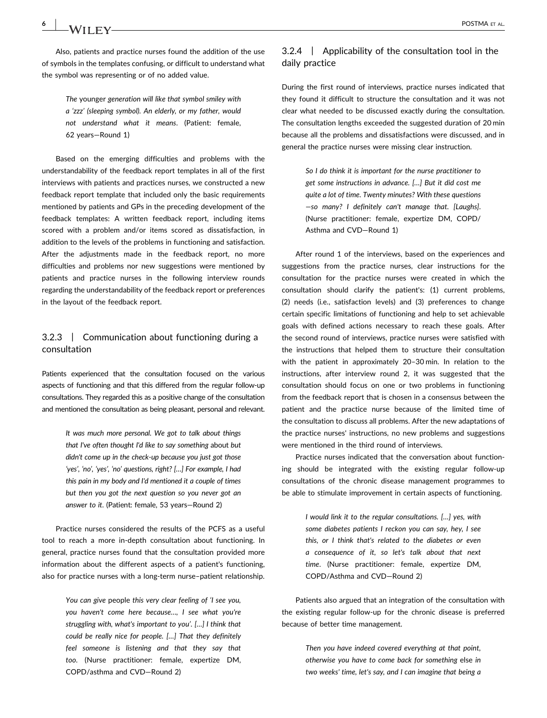Also, patients and practice nurses found the addition of the use of symbols in the templates confusing, or difficult to understand what the symbol was representing or of no added value.

> The younger generation will like that symbol smiley with a 'zzz' (sleeping symbol). An elderly, or my father, would not understand what it means. (Patient: female, 62 years—Round 1)

Based on the emerging difficulties and problems with the understandability of the feedback report templates in all of the first interviews with patients and practices nurses, we constructed a new feedback report template that included only the basic requirements mentioned by patients and GPs in the preceding development of the feedback templates: A written feedback report, including items scored with a problem and/or items scored as dissatisfaction, in addition to the levels of the problems in functioning and satisfaction. After the adjustments made in the feedback report, no more difficulties and problems nor new suggestions were mentioned by patients and practice nurses in the following interview rounds regarding the understandability of the feedback report or preferences in the layout of the feedback report.

## 3.2.3 | Communication about functioning during a consultation

Patients experienced that the consultation focused on the various aspects of functioning and that this differed from the regular follow‐up consultations. They regarded this as a positive change of the consultation and mentioned the consultation as being pleasant, personal and relevant.

> It was much more personal. We got to talk about things that I've often thought I'd like to say something about but didn't come up in the check‐up because you just got those 'yes', 'no', 'yes', 'no' questions, right? […] For example, I had this pain in my body and I'd mentioned it a couple of times but then you got the next question so you never got an answer to it. (Patient: female, 53 years—Round 2)

Practice nurses considered the results of the PCFS as a useful tool to reach a more in‐depth consultation about functioning. In general, practice nurses found that the consultation provided more information about the different aspects of a patient's functioning, also for practice nurses with a long-term nurse-patient relationship.

> You can give people this very clear feeling of 'I see you, you haven't come here because…, I see what you're struggling with, what's important to you'. […] I think that could be really nice for people. […] That they definitely feel someone is listening and that they say that too. (Nurse practitioner: female, expertize DM, COPD/asthma and CVD—Round 2)

## 3.2.4 | Applicability of the consultation tool in the daily practice

During the first round of interviews, practice nurses indicated that they found it difficult to structure the consultation and it was not clear what needed to be discussed exactly during the consultation. The consultation lengths exceeded the suggested duration of 20 min because all the problems and dissatisfactions were discussed, and in general the practice nurses were missing clear instruction.

> So I do think it is important for the nurse practitioner to get some instructions in advance. […] But it did cost me quite a lot of time. Twenty minutes? With these questions —so many? I definitely can't manage that. [Laughs]. (Nurse practitioner: female, expertize DM, COPD/ Asthma and CVD—Round 1)

After round 1 of the interviews, based on the experiences and suggestions from the practice nurses, clear instructions for the consultation for the practice nurses were created in which the consultation should clarify the patient's: (1) current problems, (2) needs (i.e., satisfaction levels) and (3) preferences to change certain specific limitations of functioning and help to set achievable goals with defined actions necessary to reach these goals. After the second round of interviews, practice nurses were satisfied with the instructions that helped them to structure their consultation with the patient in approximately 20–30 min. In relation to the instructions, after interview round 2, it was suggested that the consultation should focus on one or two problems in functioning from the feedback report that is chosen in a consensus between the patient and the practice nurse because of the limited time of the consultation to discuss all problems. After the new adaptations of the practice nurses' instructions, no new problems and suggestions were mentioned in the third round of interviews.

Practice nurses indicated that the conversation about functioning should be integrated with the existing regular follow‐up consultations of the chronic disease management programmes to be able to stimulate improvement in certain aspects of functioning.

> I would link it to the regular consultations. […] yes, with some diabetes patients I reckon you can say, hey, I see this, or I think that's related to the diabetes or even a consequence of it, so let's talk about that next time. (Nurse practitioner: female, expertize DM, COPD/Asthma and CVD—Round 2)

Patients also argued that an integration of the consultation with the existing regular follow‐up for the chronic disease is preferred because of better time management.

> Then you have indeed covered everything at that point, otherwise you have to come back for something else in two weeks' time, let's say, and I can imagine that being a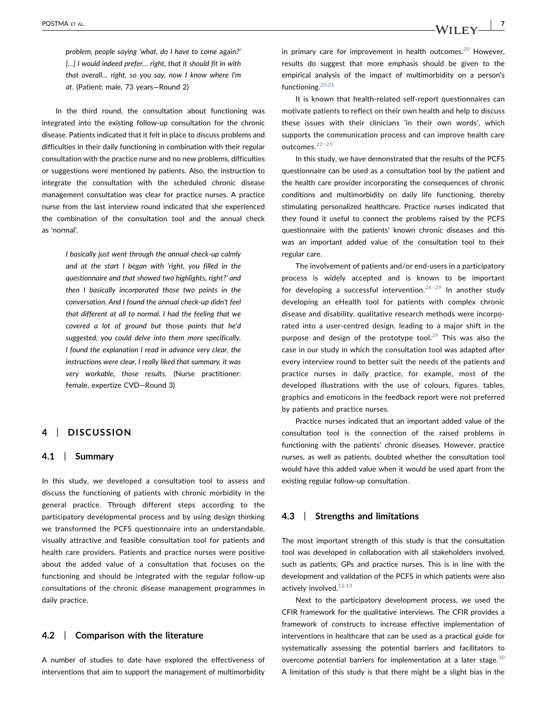problem, people saying 'what, do I have to come again?' [...] I would indeed prefer... right, that it should fit in with that overall… right, so you say, now I know where I'm at. (Patient: male, 73 years—Round 2)

In the third round, the consultation about functioning was integrated into the existing follow‐up consultation for the chronic disease. Patients indicated that it felt in place to discuss problems and difficulties in their daily functioning in combination with their regular consultation with the practice nurse and no new problems, difficulties or suggestions were mentioned by patients. Also, the instruction to integrate the consultation with the scheduled chronic disease management consultation was clear for practice nurses. A practice nurse from the last interview round indicated that she experienced the combination of the consultation tool and the annual check as 'normal'.

> I basically just went through the annual check‐up calmly and at the start I began with 'right, you filled in the questionnaire and that showed two highlights, right?' and then I basically incorporated those two points in the conversation. And I found the annual check‐up didn't feel that different at all to normal. I had the feeling that we covered a lot of ground but those points that he'd suggested, you could delve into them more specifically. I found the explanation I read in advance very clear, the instructions were clear, I really liked that summary, it was very workable, those results. (Nurse practitioner: female, expertize CVD—Round 3)

## 4 | DISCUSSION

#### 4.1 | Summary

In this study, we developed a consultation tool to assess and discuss the functioning of patients with chronic morbidity in the general practice. Through different steps according to the participatory developmental process and by using design thinking we transformed the PCFS questionnaire into an understandable, visually attractive and feasible consultation tool for patients and health care providers. Patients and practice nurses were positive about the added value of a consultation that focuses on the functioning and should be integrated with the regular follow‐up consultations of the chronic disease management programmes in daily practice.

## 4.2 | Comparison with the literature

A number of studies to date have explored the effectiveness of interventions that aim to support the management of multimorbidity

in primary care for improvement in health outcomes.<sup>20</sup> However, results do suggest that more emphasis should be given to the empirical analysis of the impact of multimorbidity on a person's functioning.<sup>[20,21](#page-8-2)</sup>

It is known that health-related self-report questionnaires can motivate patients to reflect on their own health and help to discuss these issues with their clinicians 'in their own words', which supports the communication process and can improve health care outcomes.[22](#page-8-3)–<sup>25</sup>

In this study, we have demonstrated that the results of the PCFS questionnaire can be used as a consultation tool by the patient and the health care provider incorporating the consequences of chronic conditions and multimorbidity on daily life functioning, thereby stimulating personalized healthcare. Practice nurses indicated that they found it useful to connect the problems raised by the PCFS questionnaire with the patients' known chronic diseases and this was an important added value of the consultation tool to their regular care.

The involvement of patients and/or end‐users in a participatory process is widely accepted and is known to be important for developing a successful intervention.<sup>26-[29](#page-8-4)</sup> In another study developing an eHealth tool for patients with complex chronic disease and disability, qualitative research methods were incorporated into a user‐centred design, leading to a major shift in the purpose and design of the prototype tool.<sup>[29](#page-8-5)</sup> This was also the case in our study in which the consultation tool was adapted after every interview round to better suit the needs of the patients and practice nurses in daily practice, for example, most of the developed illustrations with the use of colours, figures, tables, graphics and emoticons in the feedback report were not preferred by patients and practice nurses.

Practice nurses indicated that an important added value of the consultation tool is the connection of the raised problems in functioning with the patients' chronic diseases. However, practice nurses, as well as patients, doubted whether the consultation tool would have this added value when it would be used apart from the existing regular follow‐up consultation.

#### 4.3 | Strengths and limitations

The most important strength of this study is that the consultation tool was developed in collaboration with all stakeholders involved, such as patients, GPs and practice nurses. This is in line with the development and validation of the PCFS in which patients were also actively involved. $12,13$ 

Next to the participatory development process, we used the CFIR framework for the qualitative interviews. The CFIR provides a framework of constructs to increase effective implementation of interventions in healthcare that can be used as a practical guide for systematically assessing the potential barriers and facilitators to overcome potential barriers for implementation at a later stage. $30$ A limitation of this study is that there might be a slight bias in the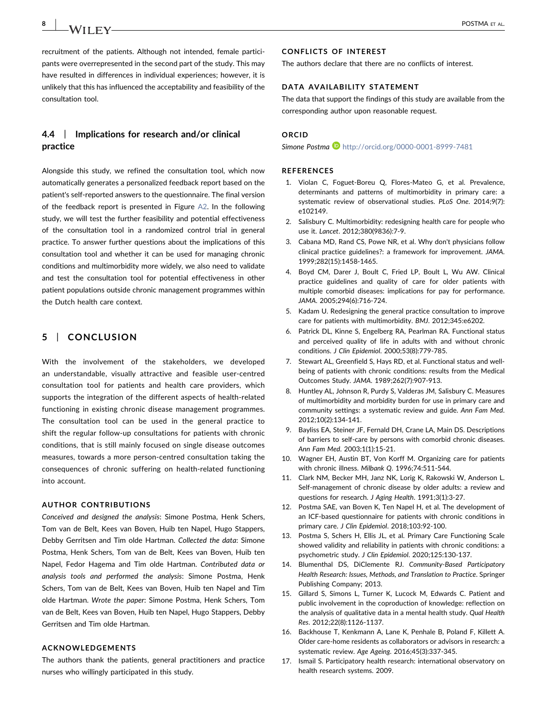8 | **IA/II FIV** | **POSTMA ET AL.** 

recruitment of the patients. Although not intended, female participants were overrepresented in the second part of the study. This may have resulted in differences in individual experiences; however, it is unlikely that this has influenced the acceptability and feasibility of the consultation tool.

## 4.4 | Implications for research and/or clinical practice

Alongside this study, we refined the consultation tool, which now automatically generates a personalized feedback report based on the patient's self‐reported answers to the questionnaire. The final version of the feedback report is presented in Figure [A2](#page-10-0). In the following study, we will test the further feasibility and potential effectiveness of the consultation tool in a randomized control trial in general practice. To answer further questions about the implications of this consultation tool and whether it can be used for managing chronic conditions and multimorbidity more widely, we also need to validate and test the consultation tool for potential effectiveness in other patient populations outside chronic management programmes within the Dutch health care context.

## 5 | CONCLUSION

With the involvement of the stakeholders, we developed an understandable, visually attractive and feasible user‐centred consultation tool for patients and health care providers, which supports the integration of the different aspects of health‐related functioning in existing chronic disease management programmes. The consultation tool can be used in the general practice to shift the regular follow‐up consultations for patients with chronic conditions, that is still mainly focused on single disease outcomes measures, towards a more person‐centred consultation taking the consequences of chronic suffering on health‐related functioning into account.

#### AUTHOR CONTRIBUTIONS

Conceived and designed the analysis: Simone Postma, Henk Schers, Tom van de Belt, Kees van Boven, Huib ten Napel, Hugo Stappers, Debby Gerritsen and Tim olde Hartman. Collected the data: Simone Postma, Henk Schers, Tom van de Belt, Kees van Boven, Huib ten Napel, Fedor Hagema and Tim olde Hartman. Contributed data or analysis tools and performed the analysis: Simone Postma, Henk Schers, Tom van de Belt, Kees van Boven, Huib ten Napel and Tim olde Hartman. Wrote the paper: Simone Postma, Henk Schers, Tom van de Belt, Kees van Boven, Huib ten Napel, Hugo Stappers, Debby Gerritsen and Tim olde Hartman.

## ACKNOWLEDGEMENTS

The authors thank the patients, general practitioners and practice nurses who willingly participated in this study.

## CONFLICTS OF INTEREST

The authors declare that there are no conflicts of interest.

## DATA AVAILABILITY STATEMENT

The data that support the findings of this study are available from the corresponding author upon reasonable request.

#### ORCID

Simone Postma<sup>D</sup> <http://orcid.org/0000-0001-8999-7481>

#### REFERENCES

- <span id="page-7-0"></span>1. Violan C, Foguet‐Boreu Q, Flores‐Mateo G, et al. Prevalence, determinants and patterns of multimorbidity in primary care: a systematic review of observational studies. PLoS One. 2014;9(7): e102149.
- <span id="page-7-1"></span>2. Salisbury C. Multimorbidity: redesigning health care for people who use it. Lancet. 2012;380(9836):7‐9.
- <span id="page-7-2"></span>3. Cabana MD, Rand CS, Powe NR, et al. Why don't physicians follow clinical practice guidelines?: a framework for improvement. JAMA. 1999;282(15):1458‐1465.
- 4. Boyd CM, Darer J, Boult C, Fried LP, Boult L, Wu AW. Clinical practice guidelines and quality of care for older patients with multiple comorbid diseases: implications for pay for performance. JAMA. 2005;294(6):716‐724.
- <span id="page-7-3"></span>5. Kadam U. Redesigning the general practice consultation to improve care for patients with multimorbidity. BMJ. 2012;345:e6202.
- 6. Patrick DL, Kinne S, Engelberg RA, Pearlman RA. Functional status and perceived quality of life in adults with and without chronic conditions. J Clin Epidemiol. 2000;53(8):779‐785.
- 7. Stewart AL, Greenfield S, Hays RD, et al. Functional status and well‐ being of patients with chronic conditions: results from the Medical Outcomes Study. JAMA. 1989;262(7):907‐913.
- 8. Huntley AL, Johnson R, Purdy S, Valderas JM, Salisbury C. Measures of multimorbidity and morbidity burden for use in primary care and community settings: a systematic review and guide. Ann Fam Med. 2012;10(2):134‐141.
- <span id="page-7-4"></span>9. Bayliss EA, Steiner JF, Fernald DH, Crane LA, Main DS. Descriptions of barriers to self‐care by persons with comorbid chronic diseases. Ann Fam Med. 2003;1(1):15‐21.
- 10. Wagner EH, Austin BT, Von Korff M. Organizing care for patients with chronic illness. Milbank Q. 1996;74:511‐544.
- 11. Clark NM, Becker MH, Janz NK, Lorig K, Rakowski W, Anderson L. Self-management of chronic disease by older adults: a review and questions for research. J Aging Health. 1991;3(1):3‐27.
- <span id="page-7-5"></span>12. Postma SAE, van Boven K, Ten Napel H, et al. The development of an ICF‐based questionnaire for patients with chronic conditions in primary care. J Clin Epidemiol. 2018;103:92-100.
- <span id="page-7-6"></span>13. Postma S, Schers H, Ellis JL, et al. Primary Care Functioning Scale showed validity and reliability in patients with chronic conditions: a psychometric study. J Clin Epidemiol. 2020;125:130‐137.
- <span id="page-7-7"></span>14. Blumenthal DS, DiClemente RJ. Community-Based Participatory Health Research: Issues, Methods, and Translation to Practice. Springer Publishing Company; 2013.
- 15. Gillard S, Simons L, Turner K, Lucock M, Edwards C. Patient and public involvement in the coproduction of knowledge: reflection on the analysis of qualitative data in a mental health study. Qual Health Res. 2012;22(8):1126‐1137.
- 16. Backhouse T, Kenkmann A, Lane K, Penhale B, Poland F, Killett A. Older care‐home residents as collaborators or advisors in research: a systematic review. Age Ageing. 2016;45(3):337‐345.
- 17. Ismail S. Participatory health research: international observatory on health research systems. 2009.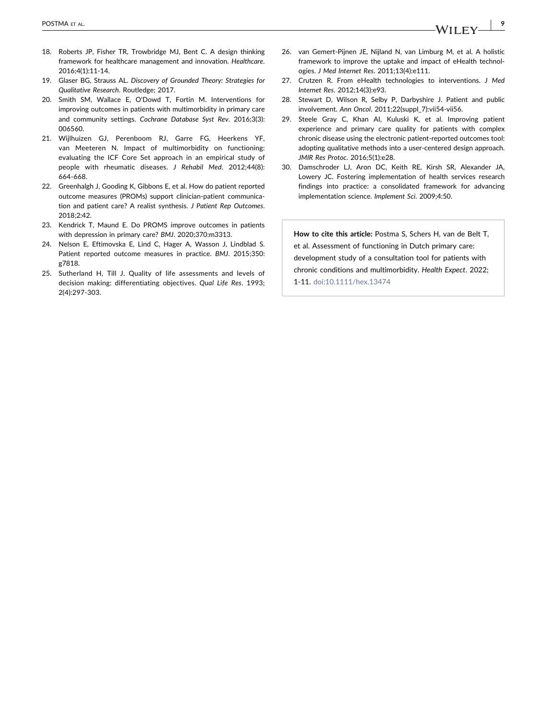- <span id="page-8-0"></span>18. Roberts JP, Fisher TR, Trowbridge MJ, Bent C. A design thinking framework for healthcare management and innovation. Healthcare. 2016;4(1):11‐14.
- <span id="page-8-1"></span>19. Glaser BG, Strauss AL. Discovery of Grounded Theory: Strategies for Qualitative Research. Routledge; 2017.
- <span id="page-8-2"></span>20. Smith SM, Wallace E, O'Dowd T, Fortin M. Interventions for improving outcomes in patients with multimorbidity in primary care and community settings. Cochrane Database Syst Rev. 2016;3(3): 006560.
- 21. Wijlhuizen GJ, Perenboom RJ, Garre FG, Heerkens YF, van Meeteren N. Impact of multimorbidity on functioning: evaluating the ICF Core Set approach in an empirical study of people with rheumatic diseases. J Rehabil Med. 2012;44(8): 664‐668.
- <span id="page-8-3"></span>22. Greenhalgh J, Gooding K, Gibbons E, et al. How do patient reported outcome measures (PROMs) support clinician‐patient communication and patient care? A realist synthesis. J Patient Rep Outcomes. 2018;2:42.
- 23. Kendrick T, Maund E. Do PROMS improve outcomes in patients with depression in primary care? BMJ. 2020;370:m3313.
- 24. Nelson E, Eftimovska E, Lind C, Hager A, Wasson J, Lindblad S. Patient reported outcome measures in practice. BMJ. 2015;350: g7818.
- 25. Sutherland H, Till J. Quality of life assessments and levels of decision making: differentiating objectives. Qual Life Res. 1993; 2(4):297‐303.
- <span id="page-8-4"></span>26. van Gemert‐Pijnen JE, Nijland N, van Limburg M, et al. A holistic framework to improve the uptake and impact of eHealth technologies. J Med Internet Res. 2011;13(4):e111.
- 27. Crutzen R. From eHealth technologies to interventions. J Med Internet Res. 2012;14(3):e93.
- 28. Stewart D, Wilson R, Selby P, Darbyshire J. Patient and public involvement. Ann Oncol. 2011;22(suppl\_7):vii54‐vii56.
- <span id="page-8-5"></span>29. Steele Gray C, Khan AI, Kuluski K, et al. Improving patient experience and primary care quality for patients with complex chronic disease using the electronic patient‐reported outcomes tool: adopting qualitative methods into a user‐centered design approach. JMIR Res Protoc. 2016;5(1):e28.
- <span id="page-8-6"></span>30. Damschroder LJ, Aron DC, Keith RE, Kirsh SR, Alexander JA, Lowery JC. Fostering implementation of health services research findings into practice: a consolidated framework for advancing implementation science. Implement Sci. 2009;4:50.

How to cite this article: Postma S, Schers H, van de Belt T, et al. Assessment of functioning in Dutch primary care: development study of a consultation tool for patients with chronic conditions and multimorbidity. Health Expect. 2022; 1‐11. [doi:10.1111/hex.13474](https://doi.org/10.1111/hex.13474)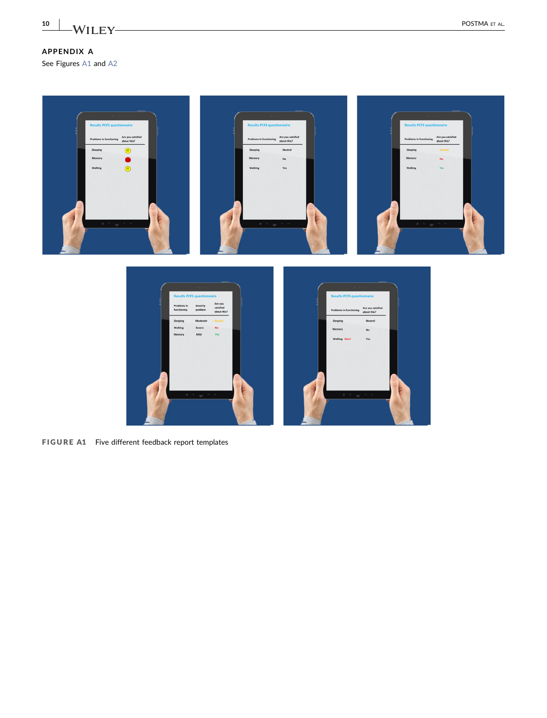## 10 | WILEY POSTMA ET AL.

## APPENDIX A

See Figures [A1](#page-9-0) and [A2](#page-10-0)

<span id="page-9-0"></span>



FIGURE A1 Five different feedback report templates